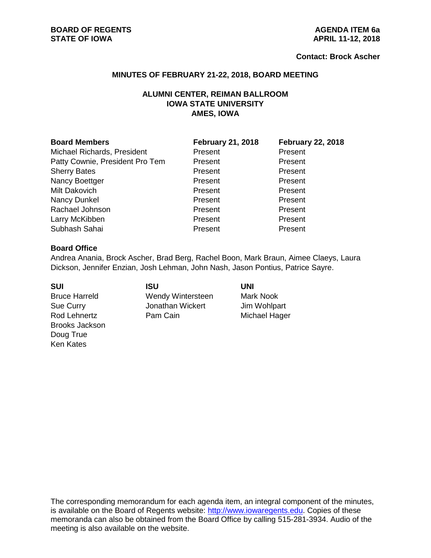#### **Contact: Brock Ascher**

#### **MINUTES OF FEBRUARY 21-22, 2018, BOARD MEETING**

# **ALUMNI CENTER, REIMAN BALLROOM IOWA STATE UNIVERSITY AMES, IOWA**

| <b>Board Members</b>            | <b>February 21, 2018</b> | <b>February 22, 2018</b> |
|---------------------------------|--------------------------|--------------------------|
| Michael Richards, President     | Present                  | Present                  |
| Patty Cownie, President Pro Tem | Present                  | Present                  |
| <b>Sherry Bates</b>             | Present                  | Present                  |
| Nancy Boettger                  | Present                  | Present                  |
| Milt Dakovich                   | Present                  | Present                  |
| Nancy Dunkel                    | Present                  | Present                  |
| Rachael Johnson                 | Present                  | Present                  |
| Larry McKibben                  | Present                  | Present                  |
| Subhash Sahai                   | Present                  | Present                  |

#### **Board Office**

Andrea Anania, Brock Ascher, Brad Berg, Rachel Boon, Mark Braun, Aimee Claeys, Laura Dickson, Jennifer Enzian, Josh Lehman, John Nash, Jason Pontius, Patrice Sayre.

Rod Lehnertz **Pam Cain** Pam Cain Michael Hager Brooks Jackson Doug True Ken Kates

# **SUI ISU UNI** Bruce Harreld **Wendy Wintersteen** Mark Nook Sue Curry **Sue Curry** Jonathan Wickert Jim Wohlpart

The corresponding memorandum for each agenda item, an integral component of the minutes, is available on the Board of Regents website: [http://www.iowaregents.edu.](http://www.iowaregents.edu/) Copies of these memoranda can also be obtained from the Board Office by calling 515-281-3934. Audio of the meeting is also available on the website.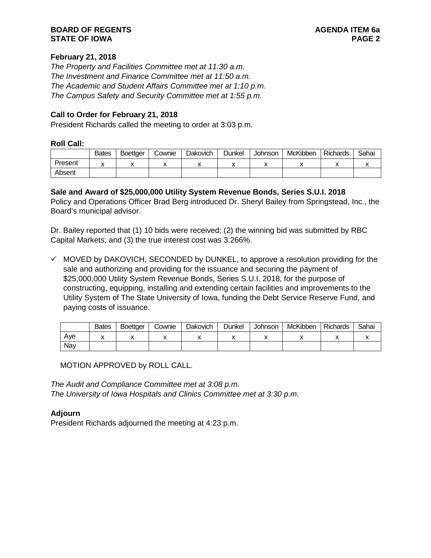# **BOARD OF REGENTS AGENDA ITEM 6a STATE OF IOWA**

# **February 21, 2018**

*The Property and Facilities Committee met at 11:30 a.m. The Investment and Finance Committee met at 11:50 a.m. The Academic and Student Affairs Committee met at 1:10 p.m. The Campus Safety and Security Committee met at 1:55 p.m.*

# **Call to Order for February 21, 2018**

President Richards called the meeting to order at 3:03 p.m.

### **Roll Call:**

|         | <b>Bates</b> | <b>Boettger</b> | Cownie | Dakovich | Dunkel | <b>Johnson</b> | McKibben | Richards | Sahai |
|---------|--------------|-----------------|--------|----------|--------|----------------|----------|----------|-------|
| Present |              |                 |        |          |        |                |          |          |       |
| Absent  |              |                 |        |          |        |                |          |          |       |

# **Sale and Award of \$25,000,000 Utility System Revenue Bonds, Series S.U.I. 2018**

Policy and Operations Officer Brad Berg introduced Dr. Sheryl Bailey from Springstead, Inc., the Board's municipal advisor.

Dr. Bailey reported that (1) 10 bids were received; (2) the winning bid was submitted by RBC Capital Markets; and (3) the true interest cost was 3.266%.

 $\checkmark$  MOVED by DAKOVICH, SECONDED by DUNKEL, to approve a resolution providing for the sale and authorizing and providing for the issuance and securing the payment of \$25,000,000 Utility System Revenue Bonds, Series S.U.I. 2018, for the purpose of constructing, equipping, installing and extending certain facilities and improvements to the Utility System of The State University of Iowa, funding the Debt Service Reserve Fund, and paying costs of issuance.

|     | <b>Bates</b> | <b>Boettger</b> | Cownie | Dakovich | Dunkel | <b>Johnson</b> | McKibben | <b>Richards</b> | Sahai |
|-----|--------------|-----------------|--------|----------|--------|----------------|----------|-----------------|-------|
| Ave |              |                 | ,,     |          |        |                | ,,       |                 |       |
| Nay |              |                 |        |          |        |                |          |                 |       |

MOTION APPROVED by ROLL CALL.

*The Audit and Compliance Committee met at 3:08 p.m. The University of Iowa Hospitals and Clinics Committee met at 3:30 p.m.*

# **Adjourn**

President Richards adjourned the meeting at 4:23 p.m.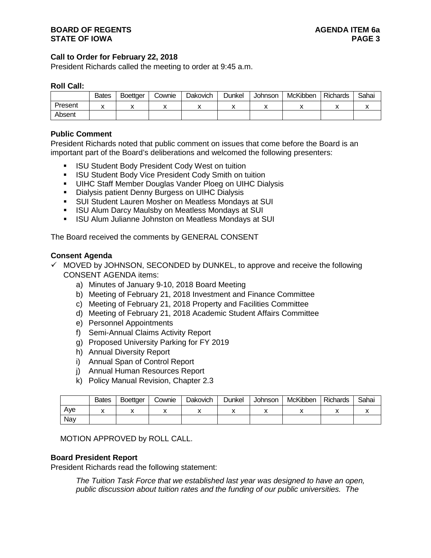# **Call to Order for February 22, 2018**

President Richards called the meeting to order at 9:45 a.m.

#### **Roll Call:**

|         | <b>Bates</b> | <b>Boettger</b> | Cownie | Dakovich | Dunkel | Johnson | McKibben | <b>Richards</b> | Sahai |
|---------|--------------|-----------------|--------|----------|--------|---------|----------|-----------------|-------|
| Present |              |                 |        |          |        |         |          |                 |       |
| Absent  |              |                 |        |          |        |         |          |                 |       |

### **Public Comment**

President Richards noted that public comment on issues that come before the Board is an important part of the Board's deliberations and welcomed the following presenters:

- ISU Student Body President Cody West on tuition
- **ISU Student Body Vice President Cody Smith on tuition**
- UIHC Staff Member Douglas Vander Ploeg on UIHC Dialysis
- **Dialysis patient Denny Burgess on UIHC Dialysis**
- SUI Student Lauren Mosher on Meatless Mondays at SUI
- **ISU Alum Darcy Maulsby on Meatless Mondays at SUI**
- **ISU Alum Julianne Johnston on Meatless Mondays at SUI**

The Board received the comments by GENERAL CONSENT

#### **Consent Agenda**

- $\checkmark$  MOVED by JOHNSON, SECONDED by DUNKEL, to approve and receive the following CONSENT AGENDA items:
	- a) Minutes of January 9-10, 2018 Board Meeting
	- b) Meeting of February 21, 2018 Investment and Finance Committee
	- c) Meeting of February 21, 2018 Property and Facilities Committee
	- d) Meeting of February 21, 2018 Academic Student Affairs Committee
	- e) Personnel Appointments
	- f) Semi-Annual Claims Activity Report
	- g) Proposed University Parking for FY 2019
	- h) Annual Diversity Report
	- i) Annual Span of Control Report
	- j) Annual Human Resources Report
	- k) Policy Manual Revision, Chapter 2.3

|     | <b>Bates</b> | <b>Boettger</b> | Cownie | Dakovich | Dunkel | Johnson | McKibben | <b>Richards</b> | Sahai |
|-----|--------------|-----------------|--------|----------|--------|---------|----------|-----------------|-------|
| Ave |              |                 |        |          |        |         |          |                 |       |
| Nay |              |                 |        |          |        |         |          |                 |       |

MOTION APPROVED by ROLL CALL.

#### **Board President Report**

President Richards read the following statement:

*The Tuition Task Force that we established last year was designed to have an open, public discussion about tuition rates and the funding of our public universities. The*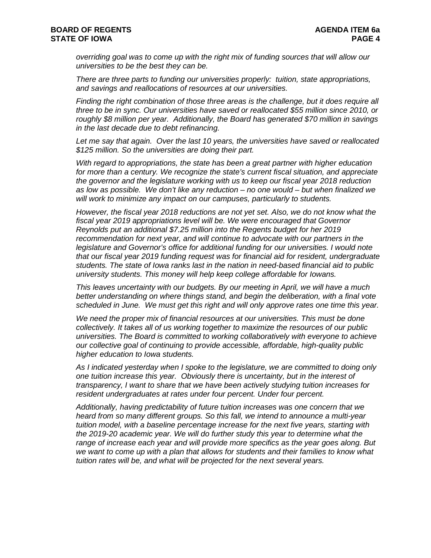*overriding goal was to come up with the right mix of funding sources that will allow our universities to be the best they can be.*

*There are three parts to funding our universities properly: tuition, state appropriations, and savings and reallocations of resources at our universities.*

*Finding the right combination of those three areas is the challenge, but it does require all three to be in sync. Our universities have saved or reallocated \$55 million since 2010, or roughly \$8 million per year. Additionally, the Board has generated \$70 million in savings in the last decade due to debt refinancing.*

*Let me say that again. Over the last 10 years, the universities have saved or reallocated \$125 million. So the universities are doing their part.*

*With regard to appropriations, the state has been a great partner with higher education for more than a century. We recognize the state's current fiscal situation, and appreciate the governor and the legislature working with us to keep our fiscal year 2018 reduction as low as possible. We don't like any reduction – no one would – but when finalized we will work to minimize any impact on our campuses, particularly to students.*

*However, the fiscal year 2018 reductions are not yet set. Also, we do not know what the fiscal year 2019 appropriations level will be. We were encouraged that Governor Reynolds put an additional \$7.25 million into the Regents budget for her 2019 recommendation for next year, and will continue to advocate with our partners in the*  legislature and Governor's office for additional funding for our universities. I would note *that our fiscal year 2019 funding request was for financial aid for resident, undergraduate students. The state of Iowa ranks last in the nation in need-based financial aid to public university students. This money will help keep college affordable for Iowans.*

*This leaves uncertainty with our budgets. By our meeting in April, we will have a much better understanding on where things stand, and begin the deliberation, with a final vote scheduled in June. We must get this right and will only approve rates one time this year.*

*We need the proper mix of financial resources at our universities. This must be done collectively. It takes all of us working together to maximize the resources of our public universities. The Board is committed to working collaboratively with everyone to achieve our collective goal of continuing to provide accessible, affordable, high-quality public higher education to Iowa students.*

*As I indicated yesterday when I spoke to the legislature, we are committed to doing only one tuition increase this year. Obviously there is uncertainty, but in the interest of transparency, I want to share that we have been actively studying tuition increases for resident undergraduates at rates under four percent. Under four percent.*

*Additionally, having predictability of future tuition increases was one concern that we heard from so many different groups. So this fall, we intend to announce a multi-year tuition model, with a baseline percentage increase for the next five years, starting with the 2019-20 academic year. We will do further study this year to determine what the range of increase each year and will provide more specifics as the year goes along. But we want to come up with a plan that allows for students and their families to know what tuition rates will be, and what will be projected for the next several years.*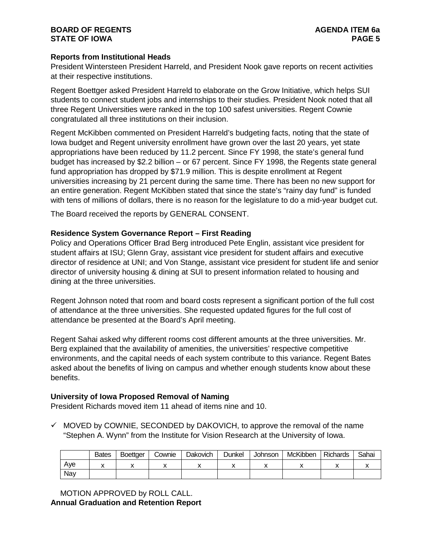# **BOARD OF REGENTS AGENDA ITEM 6a STATE OF IOWA**

# **Reports from Institutional Heads**

President Wintersteen President Harreld, and President Nook gave reports on recent activities at their respective institutions.

Regent Boettger asked President Harreld to elaborate on the Grow Initiative, which helps SUI students to connect student jobs and internships to their studies. President Nook noted that all three Regent Universities were ranked in the top 100 safest universities. Regent Cownie congratulated all three institutions on their inclusion.

Regent McKibben commented on President Harreld's budgeting facts, noting that the state of Iowa budget and Regent university enrollment have grown over the last 20 years, yet state appropriations have been reduced by 11.2 percent. Since FY 1998, the state's general fund budget has increased by \$2.2 billion – or 67 percent. Since FY 1998, the Regents state general fund appropriation has dropped by \$71.9 million. This is despite enrollment at Regent universities increasing by 21 percent during the same time. There has been no new support for an entire generation. Regent McKibben stated that since the state's "rainy day fund" is funded with tens of millions of dollars, there is no reason for the legislature to do a mid-year budget cut.

The Board received the reports by GENERAL CONSENT.

# **Residence System Governance Report – First Reading**

Policy and Operations Officer Brad Berg introduced Pete Englin, assistant vice president for student affairs at ISU; Glenn Gray, assistant vice president for student affairs and executive director of residence at UNI; and Von Stange, assistant vice president for student life and senior director of university housing & dining at SUI to present information related to housing and dining at the three universities.

Regent Johnson noted that room and board costs represent a significant portion of the full cost of attendance at the three universities. She requested updated figures for the full cost of attendance be presented at the Board's April meeting.

Regent Sahai asked why different rooms cost different amounts at the three universities. Mr. Berg explained that the availability of amenities, the universities' respective competitive environments, and the capital needs of each system contribute to this variance. Regent Bates asked about the benefits of living on campus and whether enough students know about these benefits.

# **University of Iowa Proposed Removal of Naming**

President Richards moved item 11 ahead of items nine and 10.

 $\checkmark$  MOVED by COWNIE, SECONDED by DAKOVICH, to approve the removal of the name "Stephen A. Wynn" from the Institute for Vision Research at the University of Iowa.

|     | <b>Bates</b> | <b>Boettger</b> | Cownie | Dakovich | Dunkel | <b>Johnson</b> | McKibben | <b>Richards</b> | Sahai |
|-----|--------------|-----------------|--------|----------|--------|----------------|----------|-----------------|-------|
| Aye |              |                 |        |          |        |                |          |                 |       |
| Nav |              |                 |        |          |        |                |          |                 |       |

MOTION APPROVED by ROLL CALL. **Annual Graduation and Retention Report**